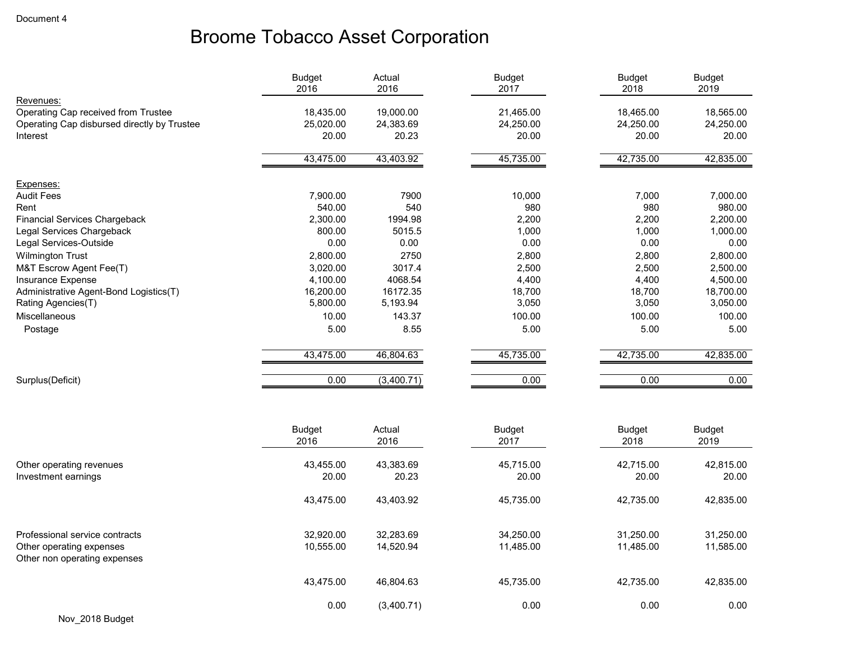|                                             | <b>Budget</b><br>2016 | Actual<br>2016 | <b>Budget</b><br>2017 | <b>Budget</b><br>2018 | <b>Budget</b><br>2019 |
|---------------------------------------------|-----------------------|----------------|-----------------------|-----------------------|-----------------------|
| Revenues:                                   |                       |                |                       |                       |                       |
| Operating Cap received from Trustee         | 18,435.00             | 19,000.00      | 21,465.00             | 18,465.00             | 18,565.00             |
| Operating Cap disbursed directly by Trustee | 25,020.00             | 24,383.69      | 24,250.00             | 24,250.00             | 24,250.00             |
| Interest                                    | 20.00                 | 20.23          | 20.00                 | 20.00                 | 20.00                 |
|                                             | 43,475.00             | 43,403.92      | 45,735.00             | 42,735.00             | 42,835.00             |
| Expenses:                                   |                       |                |                       |                       |                       |
| <b>Audit Fees</b>                           | 7,900.00              | 7900           | 10,000                | 7,000                 | 7,000.00              |
| Rent                                        | 540.00                | 540            | 980                   | 980                   | 980.00                |
| <b>Financial Services Chargeback</b>        | 2,300.00              | 1994.98        | 2,200                 | 2,200                 | 2,200.00              |
| Legal Services Chargeback                   | 800.00                | 5015.5         | 1,000                 | 1,000                 | 1,000.00              |
| Legal Services-Outside                      | 0.00                  | 0.00           | 0.00                  | 0.00                  | 0.00                  |
| <b>Wilmington Trust</b>                     | 2,800.00              | 2750           | 2,800                 | 2,800                 | 2,800.00              |
| M&T Escrow Agent Fee(T)                     | 3,020.00              | 3017.4         | 2,500                 | 2,500                 | 2,500.00              |
| Insurance Expense                           | 4,100.00              | 4068.54        | 4,400                 | 4,400                 | 4,500.00              |
| Administrative Agent-Bond Logistics(T)      | 16,200.00             | 16172.35       | 18,700                | 18,700                | 18,700.00             |
| Rating Agencies(T)                          | 5,800.00              | 5,193.94       | 3,050                 | 3,050                 | 3,050.00              |
| Miscellaneous                               | 10.00                 | 143.37         | 100.00                | 100.00                | 100.00                |
| Postage                                     | 5.00                  | 8.55           | 5.00                  | 5.00                  | 5.00                  |
|                                             | 43,475.00             | 46,804.63      | 45,735.00             | 42,735.00             | 42,835.00             |
| Surplus(Deficit)                            | 0.00                  | (3,400.71)     | 0.00                  | 0.00                  | 0.00                  |
|                                             |                       |                |                       |                       |                       |
|                                             | <b>Budget</b>         | Actual         | <b>Budget</b>         | <b>Budget</b>         | <b>Budget</b>         |
|                                             | 2016                  | 2016           | 2017                  | 2018                  | 2019                  |

|                                                                                            | $\sim$                 | $-0.10$                | $-0.1$                 | $\sim$                 | $\sim$                 |
|--------------------------------------------------------------------------------------------|------------------------|------------------------|------------------------|------------------------|------------------------|
| Other operating revenues<br>Investment earnings                                            | 43,455.00<br>20.00     | 43,383.69<br>20.23     | 45,715.00<br>20.00     | 42,715.00<br>20.00     | 42,815.00<br>20.00     |
|                                                                                            | 43.475.00              | 43,403.92              | 45,735.00              | 42,735.00              | 42,835.00              |
| Professional service contracts<br>Other operating expenses<br>Other non operating expenses | 32.920.00<br>10,555.00 | 32.283.69<br>14,520.94 | 34.250.00<br>11,485.00 | 31.250.00<br>11,485.00 | 31,250.00<br>11,585.00 |
|                                                                                            | 43.475.00              | 46.804.63              | 45,735.00              | 42.735.00              | 42,835.00              |
|                                                                                            | 0.00                   | (3,400.71)             | 0.00                   | 0.00                   | 0.00                   |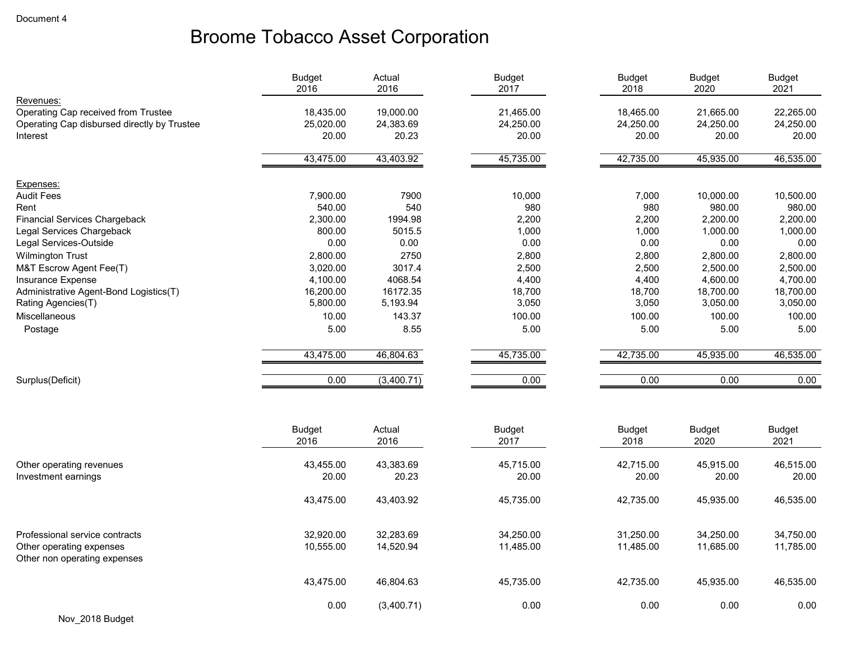|                                                          | <b>Budget</b><br>2016 | Actual<br>2016 | <b>Budget</b><br>2017 | <b>Budget</b><br>2018 | <b>Budget</b><br>2020 | <b>Budget</b><br>2021 |
|----------------------------------------------------------|-----------------------|----------------|-----------------------|-----------------------|-----------------------|-----------------------|
| Revenues:                                                |                       |                |                       |                       |                       |                       |
| Operating Cap received from Trustee                      | 18,435.00             | 19,000.00      | 21,465.00             | 18,465.00             | 21,665.00             | 22,265.00             |
| Operating Cap disbursed directly by Trustee              | 25,020.00             | 24,383.69      | 24,250.00             | 24,250.00             | 24,250.00             | 24,250.00             |
| Interest                                                 | 20.00                 | 20.23          | 20.00                 | 20.00                 | 20.00                 | 20.00                 |
|                                                          | 43,475.00             | 43,403.92      | 45,735.00             | 42,735.00             | 45,935.00             | 46,535.00             |
| Expenses:                                                |                       |                |                       |                       |                       |                       |
| <b>Audit Fees</b>                                        | 7,900.00              | 7900           | 10,000                | 7,000                 | 10,000.00             | 10,500.00             |
| Rent                                                     | 540.00                | 540            | 980                   | 980                   | 980.00                | 980.00                |
| <b>Financial Services Chargeback</b>                     | 2,300.00              | 1994.98        | 2,200                 | 2,200                 | 2,200.00              | 2,200.00              |
| Legal Services Chargeback                                | 800.00                | 5015.5         | 1,000                 | 1,000                 | 1,000.00              | 1,000.00              |
| Legal Services-Outside                                   | 0.00                  | 0.00           | 0.00                  | 0.00                  | 0.00                  | 0.00                  |
| <b>Wilmington Trust</b>                                  | 2,800.00              | 2750           | 2,800                 | 2,800                 | 2,800.00              | 2,800.00              |
| M&T Escrow Agent Fee(T)                                  | 3,020.00              | 3017.4         | 2,500                 | 2,500                 | 2,500.00              | 2,500.00              |
| Insurance Expense                                        | 4,100.00              | 4068.54        | 4,400                 | 4,400                 | 4,600.00              | 4,700.00              |
| Administrative Agent-Bond Logistics(T)                   | 16,200.00             | 16172.35       | 18,700                | 18,700                | 18,700.00             | 18,700.00             |
| Rating Agencies(T)                                       | 5,800.00              | 5,193.94       | 3,050                 | 3,050                 | 3,050.00              | 3,050.00              |
| <b>Miscellaneous</b>                                     | 10.00                 | 143.37         | 100.00                | 100.00                | 100.00                | 100.00                |
| Postage                                                  | 5.00                  | 8.55           | 5.00                  | 5.00                  | 5.00                  | 5.00                  |
|                                                          |                       |                |                       |                       |                       |                       |
|                                                          | 43,475.00             | 46,804.63      | 45,735.00             | 42,735.00             | 45,935.00             | 46,535.00             |
| Surplus(Deficit)                                         | 0.00                  | (3,400.71)     | 0.00                  | 0.00                  | 0.00                  | 0.00                  |
|                                                          |                       |                |                       |                       |                       |                       |
|                                                          | <b>Budget</b>         | Actual         | <b>Budget</b>         | <b>Budget</b>         | <b>Budget</b>         | <b>Budget</b>         |
|                                                          | 2016                  | 2016           | 2017                  | 2018                  | 2020                  | 2021                  |
| Other operating revenues                                 | 43,455.00             | 43,383.69      | 45,715.00             | 42,715.00             | 45,915.00             | 46,515.00             |
| Investment earnings                                      | 20.00                 | 20.23          | 20.00                 | 20.00                 | 20.00                 | 20.00                 |
|                                                          |                       |                |                       |                       |                       |                       |
|                                                          | 43,475.00             | 43,403.92      | 45,735.00             | 42,735.00             | 45,935.00             | 46,535.00             |
|                                                          |                       |                |                       |                       |                       |                       |
| Professional service contracts                           | 32,920.00             | 32,283.69      | 34,250.00             | 31,250.00             | 34,250.00             | 34,750.00             |
| Other operating expenses<br>Other non operating expenses | 10,555.00             | 14,520.94      | 11,485.00             | 11,485.00             | 11,685.00             | 11,785.00             |
|                                                          | 43,475.00             | 46,804.63      | 45,735.00             | 42,735.00             | 45,935.00             | 46,535.00             |
|                                                          | 0.00                  | (3,400.71)     | 0.00                  | 0.00                  | 0.00                  | 0.00                  |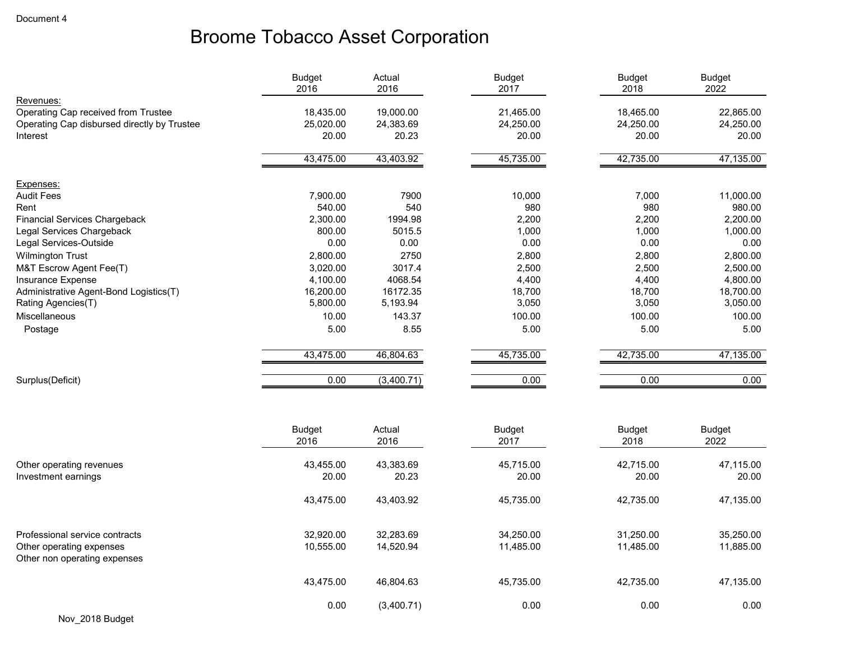|                                             | <b>Budget</b><br>2016 | Actual<br>2016 | Budget<br>2017 | <b>Budget</b><br>2018 | <b>Budget</b><br>2022 |
|---------------------------------------------|-----------------------|----------------|----------------|-----------------------|-----------------------|
| Revenues:                                   |                       |                |                |                       |                       |
| Operating Cap received from Trustee         | 18,435.00             | 19,000.00      | 21,465.00      | 18,465.00             | 22,865.00             |
| Operating Cap disbursed directly by Trustee | 25,020.00             | 24,383.69      | 24,250.00      | 24,250.00             | 24,250.00             |
| Interest                                    | 20.00                 | 20.23          | 20.00          | 20.00                 | 20.00                 |
|                                             | 43,475.00             | 43,403.92      | 45,735.00      | 42,735.00             | 47,135.00             |
| Expenses:                                   |                       |                |                |                       |                       |
| <b>Audit Fees</b>                           | 7,900.00              | 7900           | 10,000         | 7,000                 | 11,000.00             |
| Rent                                        | 540.00                | 540            | 980            | 980                   | 980.00                |
| <b>Financial Services Chargeback</b>        | 2,300.00              | 1994.98        | 2,200          | 2,200                 | 2,200.00              |
| Legal Services Chargeback                   | 800.00                | 5015.5         | 1,000          | 1,000                 | 1,000.00              |
| Legal Services-Outside                      | 0.00                  | 0.00           | 0.00           | 0.00                  | 0.00                  |
| <b>Wilmington Trust</b>                     | 2,800.00              | 2750           | 2,800          | 2,800                 | 2,800.00              |
| M&T Escrow Agent Fee(T)                     | 3,020.00              | 3017.4         | 2,500          | 2,500                 | 2,500.00              |
| Insurance Expense                           | 4,100.00              | 4068.54        | 4,400          | 4,400                 | 4,800.00              |
| Administrative Agent-Bond Logistics(T)      | 16,200.00             | 16172.35       | 18,700         | 18,700                | 18,700.00             |
| Rating Agencies(T)                          | 5,800.00              | 5,193.94       | 3,050          | 3,050                 | 3,050.00              |
| Miscellaneous                               | 10.00                 | 143.37         | 100.00         | 100.00                | 100.00                |
| Postage                                     | 5.00                  | 8.55           | 5.00           | 5.00                  | 5.00                  |
|                                             | 43,475.00             | 46,804.63      | 45,735.00      | 42,735.00             | 47,135.00             |
| Surplus(Deficit)                            | 0.00                  | (3,400.71)     | 0.00           | 0.00                  | 0.00                  |
|                                             |                       |                |                |                       |                       |
|                                             | <b>Budget</b>         | Actual         | <b>Budget</b>  | <b>Budget</b>         | <b>Budget</b>         |
|                                             | 2016                  | 2016           | 2017           | 2018                  | 2022                  |

|                                                                                            | ZUID                   | ZUID                   | ZU I I                 | ZUIO                   | ZUZZ                   |
|--------------------------------------------------------------------------------------------|------------------------|------------------------|------------------------|------------------------|------------------------|
| Other operating revenues<br>Investment earnings                                            | 43,455.00<br>20.00     | 43,383.69<br>20.23     | 45,715.00<br>20.00     | 42,715.00<br>20.00     | 47,115.00<br>20.00     |
|                                                                                            | 43,475.00              | 43,403.92              | 45,735.00              | 42,735.00              | 47,135.00              |
| Professional service contracts<br>Other operating expenses<br>Other non operating expenses | 32.920.00<br>10,555.00 | 32,283.69<br>14,520.94 | 34,250.00<br>11,485.00 | 31,250.00<br>11,485.00 | 35,250.00<br>11,885.00 |
|                                                                                            | 43,475.00              | 46,804.63              | 45,735.00              | 42,735.00              | 47,135.00              |
|                                                                                            | 0.00                   | (3,400.71)             | 0.00                   | 0.00                   | 0.00                   |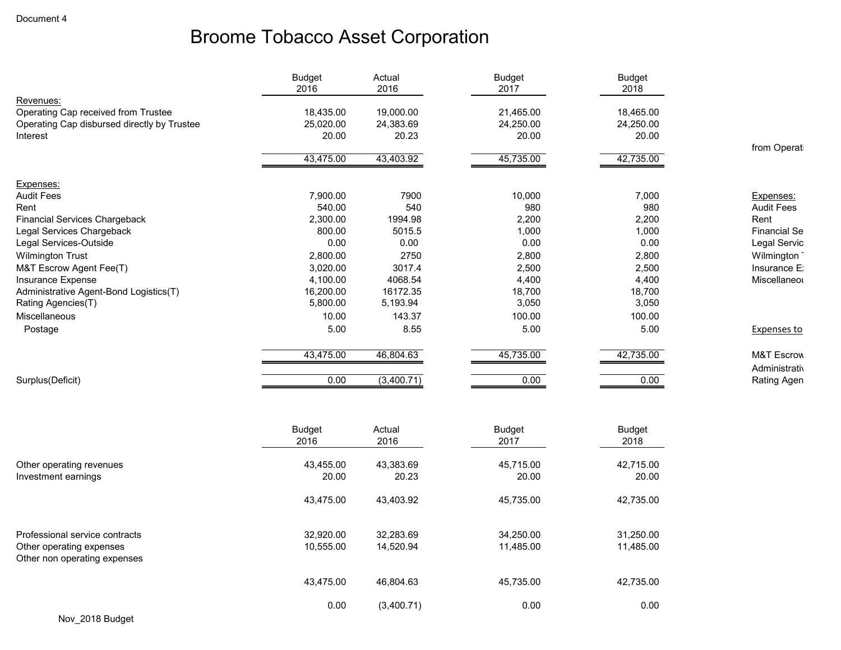|                                             | <b>Budget</b><br>2016 | Actual<br>2016 | <b>Budget</b><br>2017          | <b>Budget</b><br>2018 |                       |
|---------------------------------------------|-----------------------|----------------|--------------------------------|-----------------------|-----------------------|
| Revenues:                                   |                       |                |                                |                       |                       |
| Operating Cap received from Trustee         | 18,435.00             | 19,000.00      | 21,465.00                      | 18,465.00             |                       |
| Operating Cap disbursed directly by Trustee | 25,020.00             | 24,383.69      | 24,250.00                      | 24,250.00             |                       |
| Interest                                    | 20.00                 | 20.23          | 20.00                          | 20.00                 |                       |
|                                             |                       |                |                                |                       | from Operat           |
|                                             | 43,475.00             | 43,403.92      | 45,735.00                      | 42,735.00             |                       |
| Expenses:                                   |                       |                |                                |                       |                       |
| <b>Audit Fees</b>                           | 7,900.00              | 7900           | 10,000                         | 7,000                 | Expenses:             |
| Rent                                        | 540.00                | 540            | 980                            | 980                   | <b>Audit Fees</b>     |
| <b>Financial Services Chargeback</b>        | 2,300.00              | 1994.98        | 2,200                          | 2,200                 | Rent                  |
| Legal Services Chargeback                   | 800.00                | 5015.5         | 1,000                          | 1,000                 | <b>Financial Se</b>   |
| Legal Services-Outside                      | 0.00                  | 0.00           | 0.00                           | 0.00                  | Legal Servic          |
| <b>Wilmington Trust</b>                     | 2,800.00              | 2750           | 2,800                          | 2,800                 | Wilmington            |
| M&T Escrow Agent Fee(T)                     | 3,020.00              | 3017.4         | 2,500                          | 2,500                 | Insurance E:          |
| Insurance Expense                           | 4,100.00              | 4068.54        | 4,400                          | 4,400                 | Miscellaneor          |
| Administrative Agent-Bond Logistics(T)      | 16,200.00             | 16172.35       | 18,700                         | 18,700                |                       |
| Rating Agencies(T)                          | 5,800.00              | 5,193.94       | 3,050                          | 3,050                 |                       |
| <b>Miscellaneous</b>                        | 10.00                 | 143.37         | 100.00                         | 100.00                |                       |
| Postage                                     | 5.00                  | 8.55           | 5.00                           | 5.00                  | <b>Expenses to</b>    |
|                                             | 43,475.00             | 46,804.63      | 45,735.00                      | 42,735.00             | <b>M&amp;T Escrow</b> |
|                                             |                       |                |                                |                       | Administrativ         |
| Surplus(Deficit)                            | 0.00                  | (3,400.71)     | 0.00                           | 0.00                  | Rating Agen           |
|                                             |                       |                |                                |                       |                       |
|                                             | $D_{11}$ $A_{22}$ +   | $A$ otuol      | $D_{11}$ $A_{22}$ <sup>+</sup> | $D_{11}$ $A_{22}$     |                       |

|                                                                                            | <b>Budget</b><br>2016  | Actual<br>2016         | <b>Budget</b><br>2017  | Budget<br>2018         |
|--------------------------------------------------------------------------------------------|------------------------|------------------------|------------------------|------------------------|
| Other operating revenues<br>Investment earnings                                            | 43,455.00<br>20.00     | 43,383.69<br>20.23     | 45,715.00<br>20.00     | 42,715.00<br>20.00     |
|                                                                                            | 43,475.00              | 43,403.92              | 45,735.00              | 42,735.00              |
| Professional service contracts<br>Other operating expenses<br>Other non operating expenses | 32,920.00<br>10,555.00 | 32,283.69<br>14,520.94 | 34,250.00<br>11,485.00 | 31,250.00<br>11,485.00 |
|                                                                                            | 43,475.00              | 46,804.63              | 45,735.00              | 42,735.00              |
| .                                                                                          | 0.00                   | (3,400.71)             | 0.00                   | 0.00                   |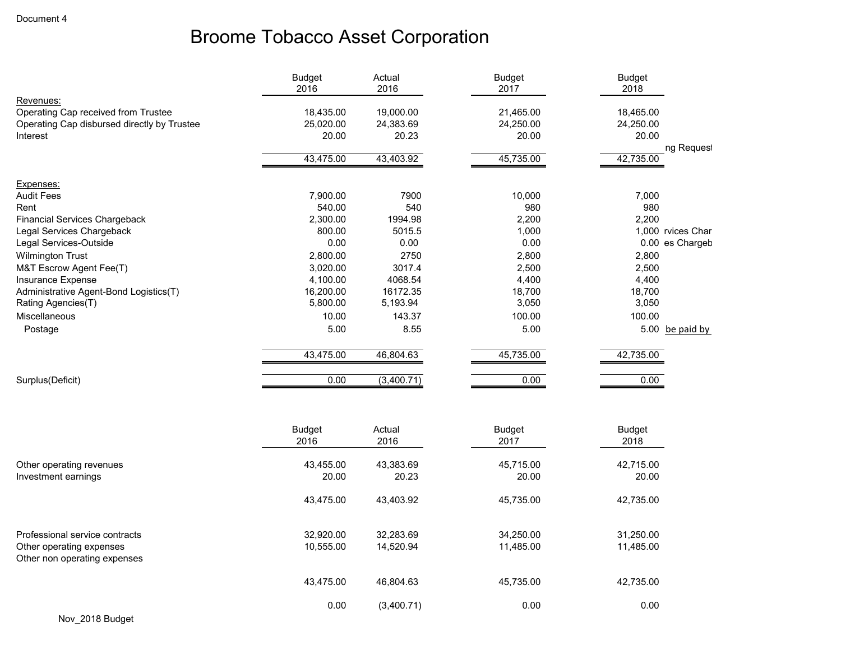|                                                          | <b>Budget</b><br>2016 | Actual<br>2016 | <b>Budget</b><br>2017 | <b>Budget</b><br>2018 |                   |
|----------------------------------------------------------|-----------------------|----------------|-----------------------|-----------------------|-------------------|
| Revenues:                                                |                       |                |                       |                       |                   |
| Operating Cap received from Trustee                      | 18,435.00             | 19,000.00      | 21,465.00             | 18,465.00             |                   |
| Operating Cap disbursed directly by Trustee              | 25,020.00             | 24,383.69      | 24,250.00             | 24,250.00             |                   |
| Interest                                                 | 20.00                 | 20.23          | 20.00                 | 20.00                 |                   |
|                                                          | 43,475.00             | 43,403.92      | 45,735.00             | 42,735.00             | ng Request        |
| Expenses:                                                |                       |                |                       |                       |                   |
| <b>Audit Fees</b>                                        | 7,900.00              | 7900           | 10,000                | 7,000                 |                   |
| Rent                                                     | 540.00                | 540            | 980                   | 980                   |                   |
| <b>Financial Services Chargeback</b>                     | 2,300.00              | 1994.98        | 2,200                 | 2,200                 |                   |
| Legal Services Chargeback                                | 800.00                | 5015.5         | 1,000                 |                       | 1,000 rvices Char |
| Legal Services-Outside                                   | 0.00                  | 0.00           | 0.00                  |                       | 0.00 es Chargeb   |
| <b>Wilmington Trust</b>                                  | 2,800.00              | 2750           | 2,800                 | 2,800                 |                   |
| M&T Escrow Agent Fee(T)                                  | 3,020.00              | 3017.4         | 2,500                 | 2,500                 |                   |
| Insurance Expense                                        | 4,100.00              | 4068.54        | 4,400                 | 4,400                 |                   |
| Administrative Agent-Bond Logistics(T)                   | 16,200.00             | 16172.35       | 18,700                | 18,700                |                   |
| Rating Agencies(T)                                       | 5,800.00              | 5,193.94       | 3,050                 | 3,050                 |                   |
| <b>Miscellaneous</b>                                     | 10.00                 | 143.37         | 100.00                | 100.00                |                   |
| Postage                                                  | 5.00                  | 8.55           | 5.00                  |                       | 5.00 be paid by   |
|                                                          | 43,475.00             | 46,804.63      | 45,735.00             | 42,735.00             |                   |
| Surplus(Deficit)                                         | 0.00                  | (3,400.71)     | 0.00                  | 0.00                  |                   |
|                                                          |                       |                |                       |                       |                   |
|                                                          | <b>Budget</b>         | Actual         | <b>Budget</b>         | <b>Budget</b>         |                   |
|                                                          | 2016                  | 2016           | 2017                  | 2018                  |                   |
| Other operating revenues                                 | 43,455.00             | 43,383.69      | 45,715.00             | 42,715.00             |                   |
| Investment earnings                                      | 20.00                 | 20.23          | 20.00                 | 20.00                 |                   |
|                                                          | 43,475.00             | 43,403.92      | 45,735.00             | 42,735.00             |                   |
| Professional service contracts                           | 32,920.00             | 32,283.69      | 34,250.00             | 31,250.00             |                   |
| Other operating expenses<br>Other non operating expenses | 10,555.00             | 14,520.94      | 11,485.00             | 11,485.00             |                   |
|                                                          | 43.475.00             | 46,804.63      | 45,735.00             | 42.735.00             |                   |

0.00 (3,400.71) 0.00 0.00 0.00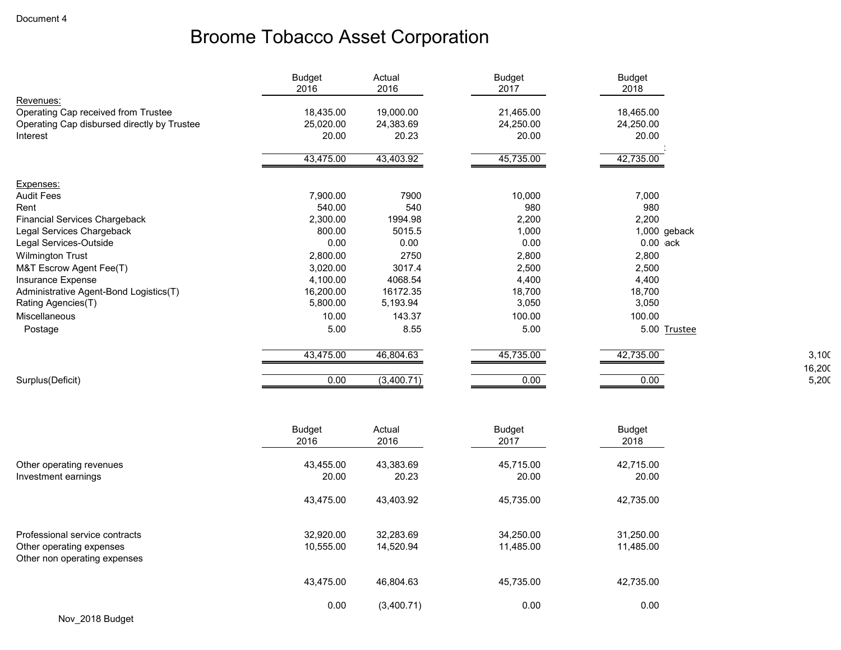|                                             | <b>Budget</b><br>2016 | Actual<br>2016 | <b>Budget</b><br>2017 | <b>Budget</b><br>2018 |
|---------------------------------------------|-----------------------|----------------|-----------------------|-----------------------|
| Revenues:                                   |                       |                |                       |                       |
| Operating Cap received from Trustee         | 18,435.00             | 19,000.00      | 21,465.00             | 18,465.00             |
| Operating Cap disbursed directly by Trustee | 25,020.00             | 24,383.69      | 24,250.00             | 24,250.00             |
| Interest                                    | 20.00                 | 20.23          | 20.00                 | 20.00                 |
|                                             | 43,475.00             | 43,403.92      | 45,735.00             | 42,735.00             |
| Expenses:                                   |                       |                |                       |                       |
| <b>Audit Fees</b>                           | 7,900.00              | 7900           | 10,000                | 7,000                 |
| Rent                                        | 540.00                | 540            | 980                   | 980                   |
| <b>Financial Services Chargeback</b>        | 2,300.00              | 1994.98        | 2,200                 | 2,200                 |
| Legal Services Chargeback                   | 800.00                | 5015.5         | 1,000                 | 1,000 geback          |
| Legal Services-Outside                      | 0.00                  | 0.00           | 0.00                  | $0.00$ ack            |
| <b>Wilmington Trust</b>                     | 2,800.00              | 2750           | 2,800                 | 2,800                 |
| M&T Escrow Agent Fee(T)                     | 3,020.00              | 3017.4         | 2,500                 | 2,500                 |
| Insurance Expense                           | 4,100.00              | 4068.54        | 4,400                 | 4,400                 |
| Administrative Agent-Bond Logistics(T)      | 16,200.00             | 16172.35       | 18,700                | 18,700                |
| Rating Agencies(T)                          | 5,800.00              | 5,193.94       | 3,050                 | 3,050                 |
| <b>Miscellaneous</b>                        | 10.00                 | 143.37         | 100.00                | 100.00                |
| Postage                                     | 5.00                  | 8.55           | 5.00                  | 5.00 Trustee          |
|                                             | 43,475.00             | 46,804.63      | 45,735.00             | 42,735.00             |
| Surplus(Deficit)                            | 0.00                  | (3,400.71)     | 0.00                  | 0.00                  |
|                                             |                       |                |                       |                       |
|                                             | <b>Budget</b>         | Actual         | <b>Budget</b>         | <b>Budget</b>         |
|                                             | 2016                  | 2016           | 2017                  | 2018                  |

3,100 16,200  $5,20C$ 

|                                                          | 2016      | 2016       | 2017      | 2018      |
|----------------------------------------------------------|-----------|------------|-----------|-----------|
| Other operating revenues                                 | 43,455.00 | 43,383.69  | 45.715.00 | 42,715.00 |
| Investment earnings                                      | 20.00     | 20.23      | 20.00     | 20.00     |
|                                                          | 43,475.00 | 43,403.92  | 45,735.00 | 42,735.00 |
| Professional service contracts                           | 32,920.00 | 32,283.69  | 34,250.00 | 31,250.00 |
| Other operating expenses<br>Other non operating expenses | 10,555.00 | 14,520.94  | 11,485.00 | 11,485.00 |
|                                                          | 43,475.00 | 46.804.63  | 45,735.00 | 42,735.00 |
|                                                          | 0.00      | (3,400.71) | 0.00      | 0.00      |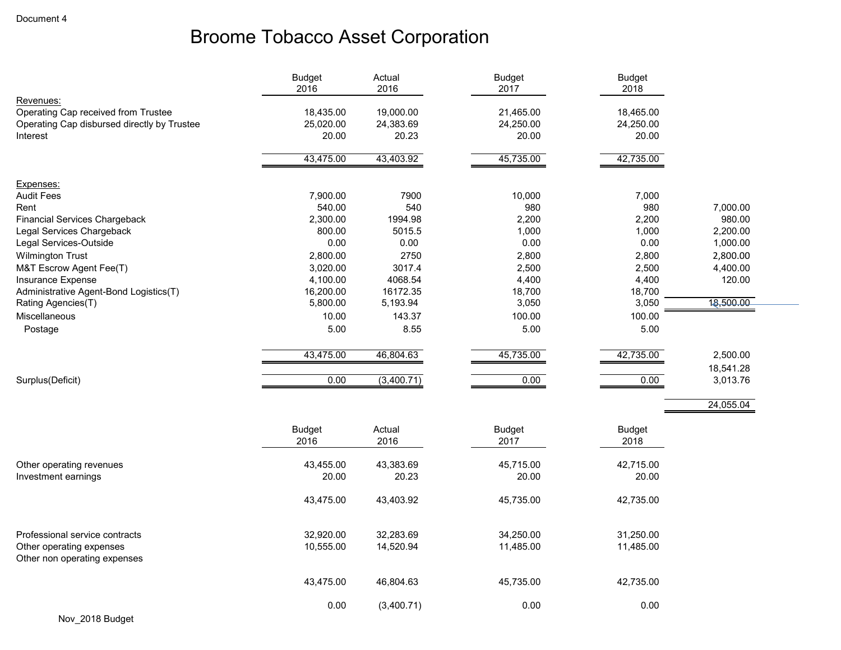|                                                          | <b>Budget</b><br>2016 | Actual<br>2016 | <b>Budget</b><br>2017 | <b>Budget</b><br>2018 |           |
|----------------------------------------------------------|-----------------------|----------------|-----------------------|-----------------------|-----------|
| Revenues:                                                |                       |                |                       |                       |           |
| Operating Cap received from Trustee                      | 18,435.00             | 19,000.00      | 21,465.00             | 18,465.00             |           |
| Operating Cap disbursed directly by Trustee              | 25,020.00             | 24,383.69      | 24,250.00             | 24,250.00             |           |
| Interest                                                 | 20.00                 | 20.23          | 20.00                 | 20.00                 |           |
|                                                          |                       |                |                       |                       |           |
|                                                          | 43,475.00             | 43,403.92      | 45,735.00             | 42,735.00             |           |
|                                                          |                       |                |                       |                       |           |
| Expenses:                                                |                       |                |                       |                       |           |
| <b>Audit Fees</b><br>Rent                                | 7,900.00<br>540.00    | 7900<br>540    | 10,000<br>980         | 7,000<br>980          | 7,000.00  |
| <b>Financial Services Chargeback</b>                     | 2,300.00              | 1994.98        | 2,200                 | 2,200                 | 980.00    |
| Legal Services Chargeback                                | 800.00                | 5015.5         | 1,000                 | 1,000                 | 2,200.00  |
| Legal Services-Outside                                   | 0.00                  | 0.00           | 0.00                  | 0.00                  | 1,000.00  |
| <b>Wilmington Trust</b>                                  | 2,800.00              | 2750           | 2,800                 | 2,800                 | 2,800.00  |
| M&T Escrow Agent Fee(T)                                  | 3,020.00              | 3017.4         | 2,500                 | 2,500                 | 4,400.00  |
| Insurance Expense                                        | 4,100.00              | 4068.54        | 4,400                 | 4,400                 | 120.00    |
| Administrative Agent-Bond Logistics(T)                   | 16,200.00             | 16172.35       | 18,700                | 18,700                |           |
| Rating Agencies(T)                                       | 5,800.00              | 5,193.94       | 3,050                 | 3,050                 | 18,500.00 |
| <b>Miscellaneous</b>                                     | 10.00                 | 143.37         | 100.00                | 100.00                |           |
| Postage                                                  | 5.00                  | 8.55           | 5.00                  | 5.00                  |           |
|                                                          |                       |                |                       |                       |           |
|                                                          | 43,475.00             | 46,804.63      | 45,735.00             | 42,735.00             | 2,500.00  |
|                                                          |                       |                |                       |                       | 18,541.28 |
| Surplus(Deficit)                                         | 0.00                  | (3,400.71)     | 0.00                  | 0.00                  | 3,013.76  |
|                                                          |                       |                |                       |                       | 24,055.04 |
|                                                          |                       |                |                       |                       |           |
|                                                          | <b>Budget</b>         | Actual         | <b>Budget</b>         | <b>Budget</b>         |           |
|                                                          | 2016                  | 2016           | 2017                  | 2018                  |           |
|                                                          |                       |                |                       |                       |           |
| Other operating revenues                                 | 43,455.00             | 43,383.69      | 45,715.00             | 42,715.00             |           |
| Investment earnings                                      | 20.00                 | 20.23          | 20.00                 | 20.00                 |           |
|                                                          |                       |                |                       |                       |           |
|                                                          | 43,475.00             | 43,403.92      | 45,735.00             | 42,735.00             |           |
|                                                          |                       |                |                       |                       |           |
| Professional service contracts                           | 32,920.00             | 32,283.69      | 34,250.00             | 31,250.00             |           |
| Other operating expenses<br>Other non operating expenses | 10,555.00             | 14,520.94      | 11,485.00             | 11,485.00             |           |
|                                                          |                       |                |                       |                       |           |
|                                                          | 43,475.00             | 46,804.63      | 45,735.00             | 42,735.00             |           |
|                                                          |                       |                |                       |                       |           |
|                                                          | 0.00                  | (3,400.71)     | 0.00                  | 0.00                  |           |
| Nov 2018 Budget                                          |                       |                |                       |                       |           |